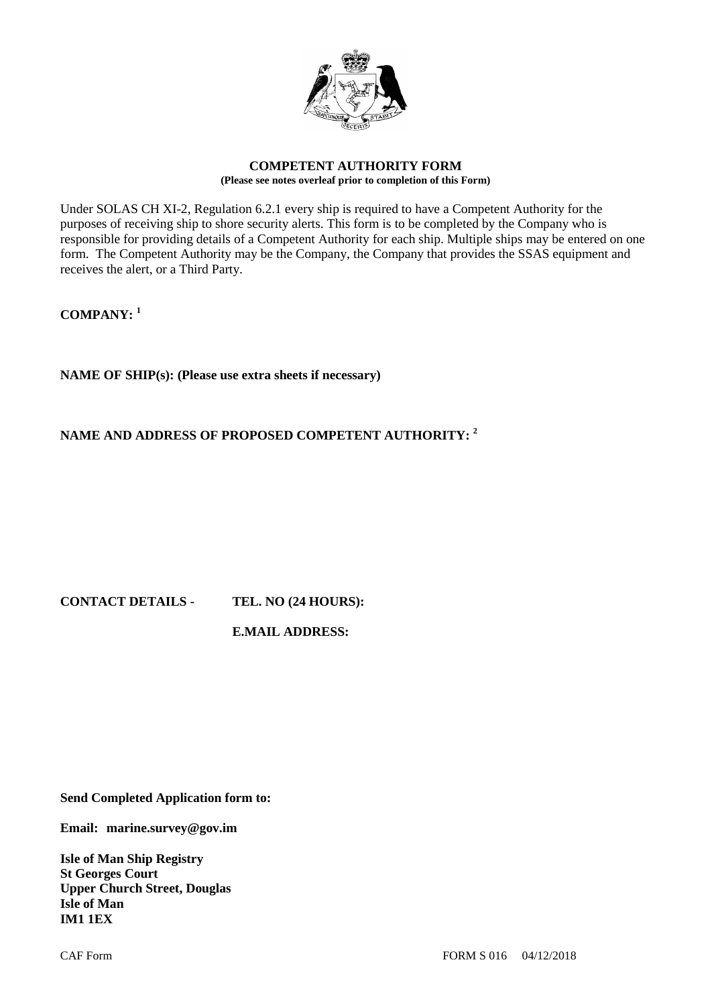

## **COMPETENT AUTHORITY FORM (Please see notes overleaf prior to completion of this Form)**

Under SOLAS CH XI-2, Regulation 6.2.1 every ship is required to have a Competent Authority for the purposes of receiving ship to shore security alerts. This form is to be completed by the Company who is responsible for providing details of a Competent Authority for each ship. Multiple ships may be entered on one form. The Competent Authority may be the Company, the Company that provides the SSAS equipment and receives the alert, or a Third Party.

**COMPANY: <sup>1</sup>**

**NAME OF SHIP(s): (Please use extra sheets if necessary)**

## **NAME AND ADDRESS OF PROPOSED COMPETENT AUTHORITY: <sup>2</sup>**

## **CONTACT DETAILS - TEL. NO (24 HOURS):**

## **E.MAIL ADDRESS:**

**Send Completed Application form to:**

**Email: marine.survey@gov.im**

**Isle of Man Ship Registry St Georges Court Upper Church Street, Douglas Isle of Man IM1 1EX**